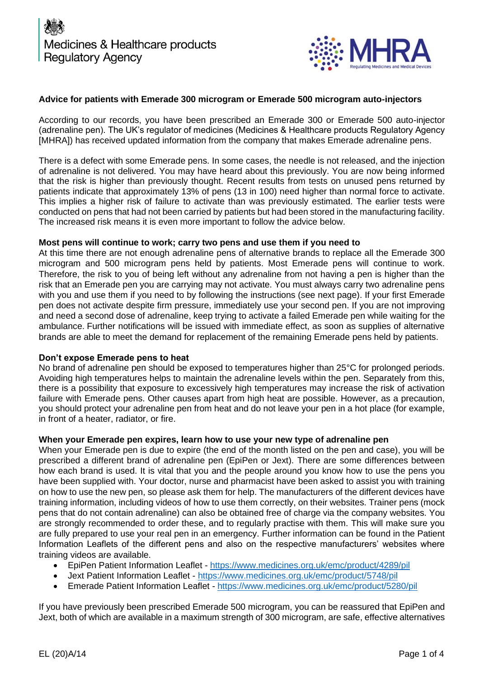

### **Advice for patients with Emerade 300 microgram or Emerade 500 microgram auto-injectors**

According to our records, you have been prescribed an Emerade 300 or Emerade 500 auto-injector (adrenaline pen). The UK's regulator of medicines (Medicines & Healthcare products Regulatory Agency [MHRA]) has received updated information from the company that makes Emerade adrenaline pens.

There is a defect with some Emerade pens. In some cases, the needle is not released, and the injection of adrenaline is not delivered. You may have heard about this previously. You are now being informed that the risk is higher than previously thought. Recent results from tests on unused pens returned by patients indicate that approximately 13% of pens (13 in 100) need higher than normal force to activate. This implies a higher risk of failure to activate than was previously estimated. The earlier tests were conducted on pens that had not been carried by patients but had been stored in the manufacturing facility. The increased risk means it is even more important to follow the advice below.

### **Most pens will continue to work; carry two pens and use them if you need to**

At this time there are not enough adrenaline pens of alternative brands to replace all the Emerade 300 microgram and 500 microgram pens held by patients. Most Emerade pens will continue to work. Therefore, the risk to you of being left without any adrenaline from not having a pen is higher than the risk that an Emerade pen you are carrying may not activate. You must always carry two adrenaline pens with you and use them if you need to by following the instructions (see next page). If your first Emerade pen does not activate despite firm pressure, immediately use your second pen. If you are not improving and need a second dose of adrenaline, keep trying to activate a failed Emerade pen while waiting for the ambulance. Further notifications will be issued with immediate effect, as soon as supplies of alternative brands are able to meet the demand for replacement of the remaining Emerade pens held by patients.

### **Don't expose Emerade pens to heat**

No brand of adrenaline pen should be exposed to temperatures higher than 25°C for prolonged periods. Avoiding high temperatures helps to maintain the adrenaline levels within the pen. Separately from this, there is a possibility that exposure to excessively high temperatures may increase the risk of activation failure with Emerade pens. Other causes apart from high heat are possible. However, as a precaution, you should protect your adrenaline pen from heat and do not leave your pen in a hot place (for example, in front of a heater, radiator, or fire.

### **When your Emerade pen expires, learn how to use your new type of adrenaline pen**

When your Emerade pen is due to expire (the end of the month listed on the pen and case), you will be prescribed a different brand of adrenaline pen (EpiPen or Jext). There are some differences between how each brand is used. It is vital that you and the people around you know how to use the pens you have been supplied with. Your doctor, nurse and pharmacist have been asked to assist you with training on how to use the new pen, so please ask them for help. The manufacturers of the different devices have training information, including videos of how to use them correctly, on their websites. Trainer pens (mock pens that do not contain adrenaline) can also be obtained free of charge via the company websites. You are strongly recommended to order these, and to regularly practise with them. This will make sure you are fully prepared to use your real pen in an emergency. Further information can be found in the Patient Information Leaflets of the different pens and also on the respective manufacturers' websites where training videos are available.

- EpiPen Patient Information Leaflet <https://www.medicines.org.uk/emc/product/4289/pil>
- Jext Patient Information Leaflet <https://www.medicines.org.uk/emc/product/5748/pil>
- Emerade Patient Information Leaflet <https://www.medicines.org.uk/emc/product/5280/pil>

If you have previously been prescribed Emerade 500 microgram, you can be reassured that EpiPen and Jext, both of which are available in a maximum strength of 300 microgram, are safe, effective alternatives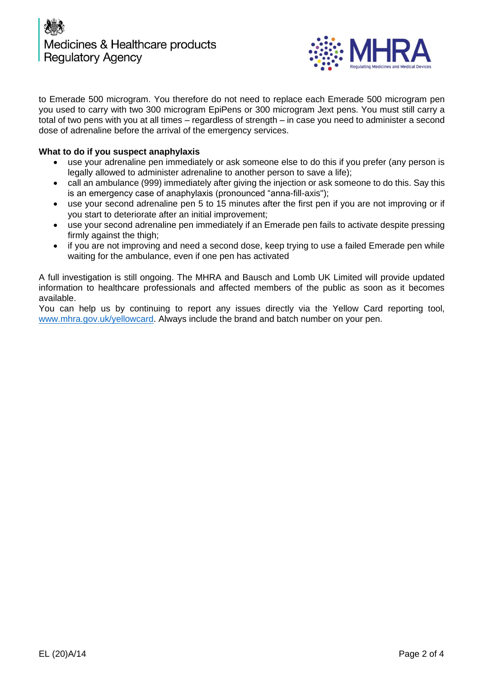



to Emerade 500 microgram. You therefore do not need to replace each Emerade 500 microgram pen you used to carry with two 300 microgram EpiPens or 300 microgram Jext pens. You must still carry a total of two pens with you at all times – regardless of strength – in case you need to administer a second dose of adrenaline before the arrival of the emergency services.

### **What to do if you suspect anaphylaxis**

- use your adrenaline pen immediately or ask someone else to do this if you prefer (any person is legally allowed to administer adrenaline to another person to save a life);
- call an ambulance (999) immediately after giving the injection or ask someone to do this. Say this is an emergency case of anaphylaxis (pronounced "anna-fill-axis");
- use your second adrenaline pen 5 to 15 minutes after the first pen if you are not improving or if you start to deteriorate after an initial improvement;
- use your second adrenaline pen immediately if an Emerade pen fails to activate despite pressing firmly against the thigh;
- if you are not improving and need a second dose, keep trying to use a failed Emerade pen while waiting for the ambulance, even if one pen has activated

A full investigation is still ongoing. The MHRA and Bausch and Lomb UK Limited will provide updated information to healthcare professionals and affected members of the public as soon as it becomes available.

You can help us by continuing to report any issues directly via the Yellow Card reporting tool, [www.mhra.gov.uk/yellowcard.](http://www.mhra.gov.uk/yellowcard) Always include the brand and batch number on your pen.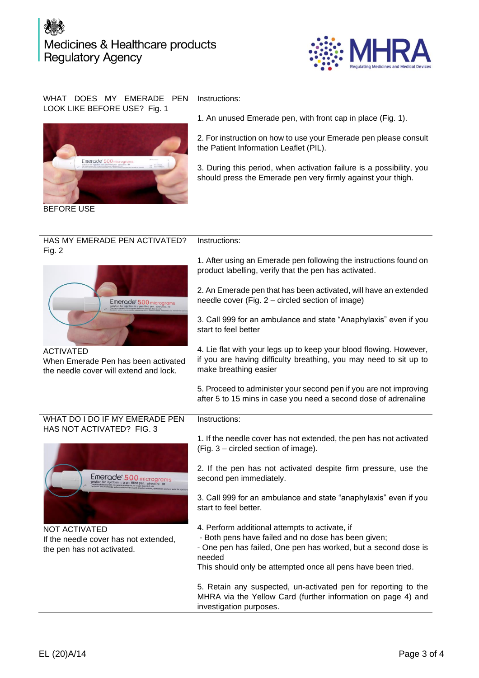# Medicines & Healthcare products **Regulatory Agency**



### WHAT DOES MY EMERADE PEN LOOK LIKE BEFORE USE? Fig. 1



BEFORE USE

Instructions:

Instructions:

1. An unused Emerade pen, with front cap in place (Fig. 1).

2. For instruction on how to use your Emerade pen please consult the Patient Information Leaflet (PIL).

3. During this period, when activation failure is a possibility, you should press the Emerade pen very firmly against your thigh.

#### HAS MY EMERADE PEN ACTIVATED? Fig. 2 Instructions:



When Emerade Pen has been activated the needle cover will extend and lock.

1. After using an Emerade pen following the instructions found on product labelling, verify that the pen has activated.

2. An Emerade pen that has been activated, will have an extended needle cover (Fig. 2 – circled section of image)

3. Call 999 for an ambulance and state "Anaphylaxis" even if you start to feel better

4. Lie flat with your legs up to keep your blood flowing. However, if you are having difficulty breathing, you may need to sit up to make breathing easier

5. Proceed to administer your second pen if you are not improving after 5 to 15 mins in case you need a second dose of adrenaline

### WHAT DO I DO IF MY EMERADE PEN HAS NOT ACTIVATED? FIG. 3



NOT ACTIVATED If the needle cover has not extended, the pen has not activated.

1. If the needle cover has not extended, the pen has not activated (Fig. 3 – circled section of image).

2. If the pen has not activated despite firm pressure, use the second pen immediately.

3. Call 999 for an ambulance and state "anaphylaxis" even if you start to feel better.

- 4. Perform additional attempts to activate, if
- Both pens have failed and no dose has been given;
- One pen has failed, One pen has worked, but a second dose is needed

This should only be attempted once all pens have been tried.

5. Retain any suspected, un-activated pen for reporting to the MHRA via the Yellow Card (further information on page 4) and investigation purposes.